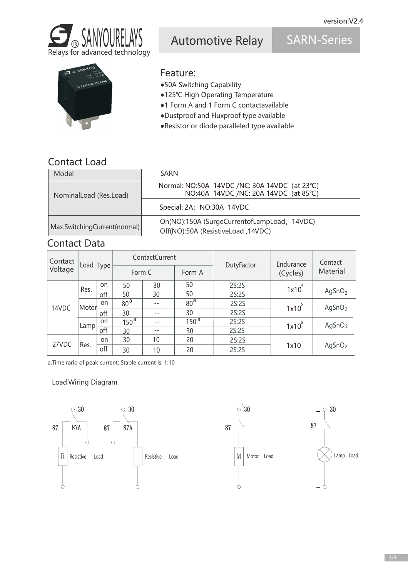

Automotive Relay SARN-Series

## Feature:

- ●50A Switching Capability
- ●125℃ High Operating Temperature
- ●1 Form A and 1 Form C contactavailable
- ●Dustproof and Fluxproof type available
- ●Resistor or diode paralleled type available

### Contact Load

| Model                        | <b>SARN</b>                                                                            |  |  |  |
|------------------------------|----------------------------------------------------------------------------------------|--|--|--|
| NominalLoad (Res.Load)       | Normal: NO:50A 14VDC /NC: 30A 14VDC (at 23°C)<br>NO:40A 14VDC /NC: 20A 14VDC (at 85°C) |  |  |  |
|                              | Special: 2A: NO:30A 14VDC                                                              |  |  |  |
| Max.SwitchingCurrent(normal) | On(NO):150A (SurgeCurrentofLampLoad, 14VDC)<br>Off(NO):50A (ResistiveLoad, 14VDC)      |  |  |  |

### Contact Data

| Contact<br>Voltage | Load Type |     | ContactCurrent   |       |                  |            | Endurance | Contact            |
|--------------------|-----------|-----|------------------|-------|------------------|------------|-----------|--------------------|
|                    |           |     | Form C           |       | Form A           | DutyFactor | (Cycles)  | Material           |
| 14VDC              | Res.      | on  | 50               | 30    | 50               | 2S:2S      | $1x10^5$  | AgSnO <sub>2</sub> |
|                    |           | off | 50               | 30    | 50               | 2S:2S      |           |                    |
|                    | Motor-    | on  | 80 <sup>a</sup>  | --    | 80 <sup>a</sup>  | 2S:2S      | $1x10^5$  | AgSnO <sub>2</sub> |
|                    |           | off | 30               | $- -$ | 30               | 2S:2S      |           |                    |
|                    | Lamp      | on  | 150 <sup>a</sup> | $- -$ | 150 <sup>a</sup> | 2S:2S      | $1x10^5$  | AgSnO <sub>2</sub> |
|                    |           | off | 30               | $- -$ | 30               | 2S:2S      |           |                    |
| 27VDC              | Res.      | on  | 30               | 10    | 20               | 2S:2S      |           | AgSnO <sub>2</sub> |
|                    |           | off | 30               | 10    | 20               | 2S:2S      | $1x10^5$  |                    |

a.Time rario of peak current: Stable current is: 1:10

#### Load Wiring Diagram

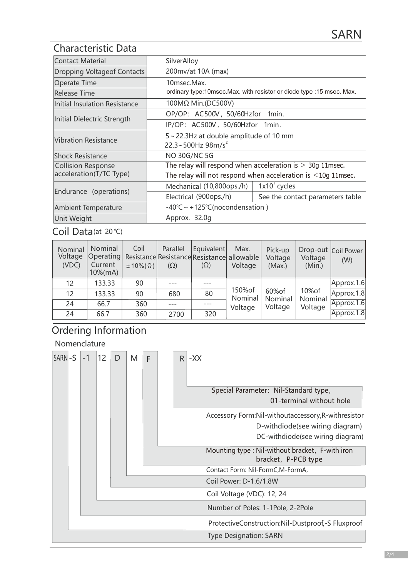#### Characteristic Data

| Contact Material                                     | SilverAlloy                                                                                                                        |                                                     |  |  |  |
|------------------------------------------------------|------------------------------------------------------------------------------------------------------------------------------------|-----------------------------------------------------|--|--|--|
| Dropping Voltageof Contacts                          | 200mv/at 10A (max)                                                                                                                 |                                                     |  |  |  |
| Operate Time                                         | 10msec.Max.                                                                                                                        |                                                     |  |  |  |
| Release Time                                         | ordinary type:10msec.Max. with resistor or diode type :15 msec. Max.                                                               |                                                     |  |  |  |
| Initial Insulation Resistance                        | 100MΩ Min.(DC500V)                                                                                                                 |                                                     |  |  |  |
|                                                      | OP/OP: AC500V, 50/60Hzfor 1min.                                                                                                    |                                                     |  |  |  |
| Initial Dielectric Strength                          | IP/OP: AC500V, 50/60Hzfor 1min.                                                                                                    |                                                     |  |  |  |
| <b>Vibration Resistance</b>                          | 5~22.3Hz at double amplitude of 10 mm<br>22.3~500Hz $98m/s^2$                                                                      |                                                     |  |  |  |
| <b>Shock Resistance</b>                              | <b>NO 30G/NC 5G</b>                                                                                                                |                                                     |  |  |  |
| <b>Collision Response</b><br>acceleration(T/TC Type) | The relay will respond when acceleration is $>$ 30g 11msec.<br>The relay will not respond when acceleration is $\leq 10$ g 11msec. |                                                     |  |  |  |
|                                                      | Mechanical (10,800ops./h)                                                                                                          | $1x10^7$ cycles                                     |  |  |  |
| Endurance (operations)                               | Electrical (900ops./h)                                                                                                             | See the contact parameters table                    |  |  |  |
| <b>Ambient Temperature</b>                           |                                                                                                                                    | $-40^{\circ}$ C ~ +125 $^{\circ}$ C(nocondensation) |  |  |  |
| <b>Unit Weight</b>                                   | Approx. 32.0q                                                                                                                      |                                                     |  |  |  |

#### $Coil Data$ (at 20 $°C$ )

| Nominal<br>Voltage<br>(VDC) | Nominal<br>Operating<br>Current<br>$10\%$ (mA) | Coil<br>$\pm 10\%$ ( $\Omega$ ) | Parallel<br>Resistance Resistance Resistance allowable<br>$(\Omega)$ | Equivalent<br>$(\Omega)$ | Max.<br>Voltage    | Pick-up<br>Voltage<br>(Max.) | Voltage<br>(Min.)            | Drop-out Coil Power<br>(W) |
|-----------------------------|------------------------------------------------|---------------------------------|----------------------------------------------------------------------|--------------------------|--------------------|------------------------------|------------------------------|----------------------------|
| 12                          | 133.33                                         | 90                              |                                                                      |                          |                    |                              |                              | Approx.1.6                 |
| 12                          | 133.33                                         | 90                              | 680                                                                  | 80                       | 150% of<br>Nominal | 60% of<br>Nominal<br>Voltage | 10% of<br>Nominal<br>Voltage | Approx.1.8                 |
| 24                          | 66.7                                           | 360                             |                                                                      |                          | Voltage            |                              |                              | Approx.1.6                 |
| 24                          | 66.7                                           | 360                             | 2700                                                                 | 320                      |                    |                              |                              | Approx.1.8                 |

## Ordering Information

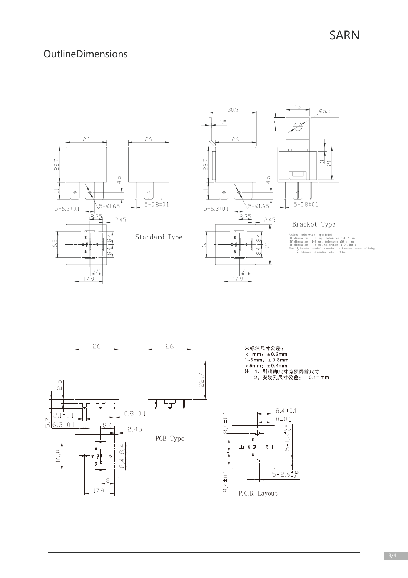# OutlineDimensions